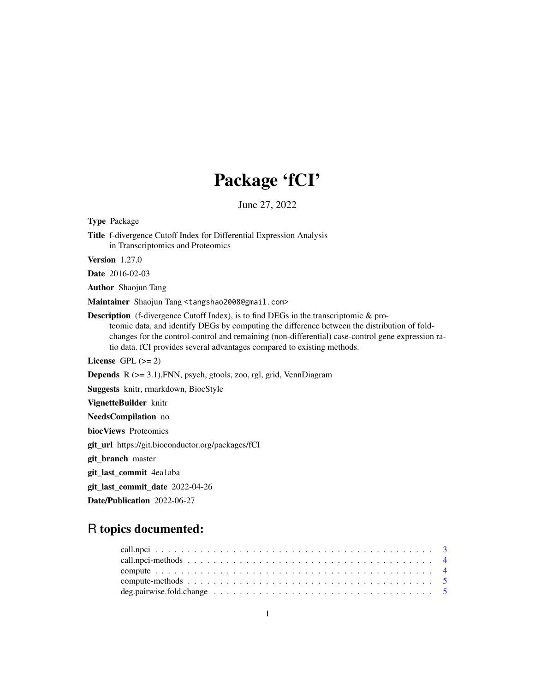## Package 'fCI'

June 27, 2022

Type Package Title f-divergence Cutoff Index for Differential Expression Analysis in Transcriptomics and Proteomics Version 1.27.0 Date 2016-02-03 Author Shaojun Tang Maintainer Shaojun Tang <tangshao2008@gmail.com> Description (f-divergence Cutoff Index), is to find DEGs in the transcriptomic & proteomic data, and identify DEGs by computing the difference between the distribution of foldchanges for the control-control and remaining (non-differential) case-control gene expression ratio data. fCI provides several advantages compared to existing methods. License GPL  $(>= 2)$ Depends R (>= 3.1),FNN, psych, gtools, zoo, rgl, grid, VennDiagram Suggests knitr, rmarkdown, BiocStyle VignetteBuilder knitr NeedsCompilation no biocViews Proteomics git\_url https://git.bioconductor.org/packages/fCI git\_branch master git\_last\_commit 4ea1aba git\_last\_commit\_date 2022-04-26 Date/Publication 2022-06-27

## R topics documented: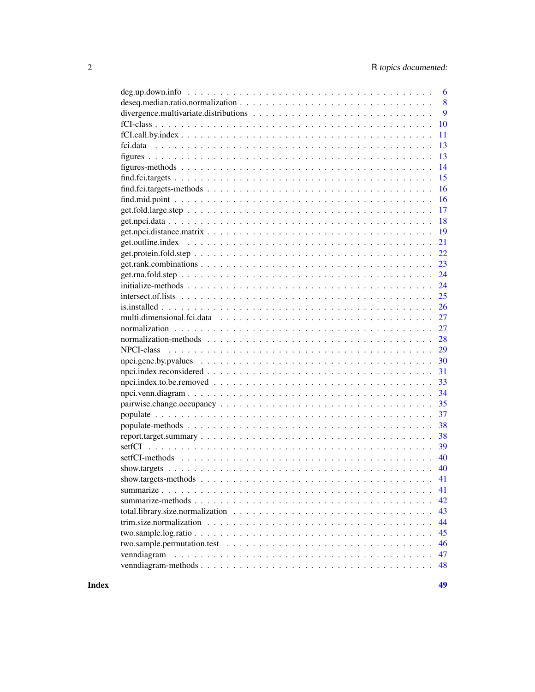| 6                                                                                                                       |
|-------------------------------------------------------------------------------------------------------------------------|
| 8                                                                                                                       |
| 9                                                                                                                       |
| 10                                                                                                                      |
| 11                                                                                                                      |
| 13                                                                                                                      |
| 13                                                                                                                      |
| 14                                                                                                                      |
| 15                                                                                                                      |
| 16                                                                                                                      |
| 16                                                                                                                      |
| 17                                                                                                                      |
| 18                                                                                                                      |
| 19                                                                                                                      |
| 21                                                                                                                      |
| 22                                                                                                                      |
| 23                                                                                                                      |
| 24                                                                                                                      |
| 24                                                                                                                      |
| 25                                                                                                                      |
| 26                                                                                                                      |
| 27                                                                                                                      |
| 27                                                                                                                      |
| 28                                                                                                                      |
| 29                                                                                                                      |
| 30                                                                                                                      |
| 31                                                                                                                      |
| 33                                                                                                                      |
| 34                                                                                                                      |
| 35                                                                                                                      |
| 37                                                                                                                      |
| 38                                                                                                                      |
| 38                                                                                                                      |
| 39                                                                                                                      |
| 40                                                                                                                      |
| 40                                                                                                                      |
|                                                                                                                         |
| 41                                                                                                                      |
| 42                                                                                                                      |
| 43                                                                                                                      |
| 44                                                                                                                      |
| 45                                                                                                                      |
| two.sample.permutation.test $\ldots \ldots \ldots \ldots \ldots \ldots \ldots \ldots \ldots \ldots \ldots \ldots$<br>46 |
| venndiagram<br>47                                                                                                       |
| 48                                                                                                                      |
|                                                                                                                         |

**Index a** set of the contract of the contract of the contract of the contract of the contract of the contract of the contract of the contract of the contract of the contract of the contract of the contract of the contrac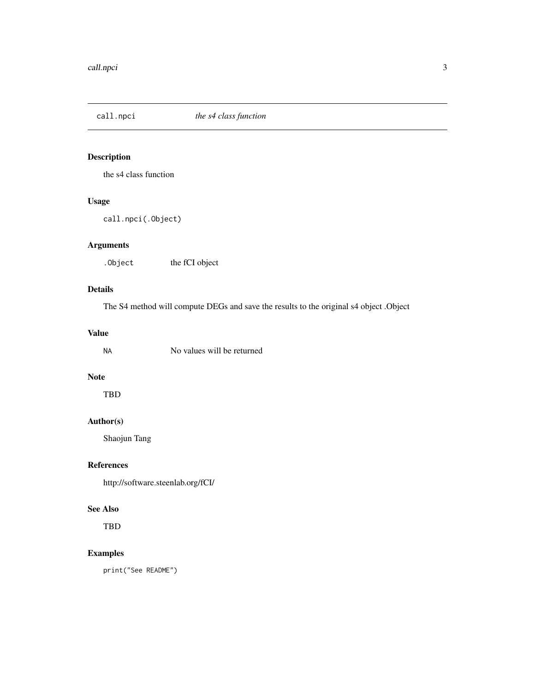<span id="page-2-0"></span>

### Description

the s4 class function

### Usage

call.npci(.Object)

### Arguments

. Object the fCI object

### Details

The S4 method will compute DEGs and save the results to the original s4 object .Object

#### Value

| ΝA | No values will be returned |  |
|----|----------------------------|--|
|    |                            |  |

### Note

TBD

### Author(s)

Shaojun Tang

### References

http://software.steenlab.org/fCI/

#### See Also

TBD

### Examples

print("See README")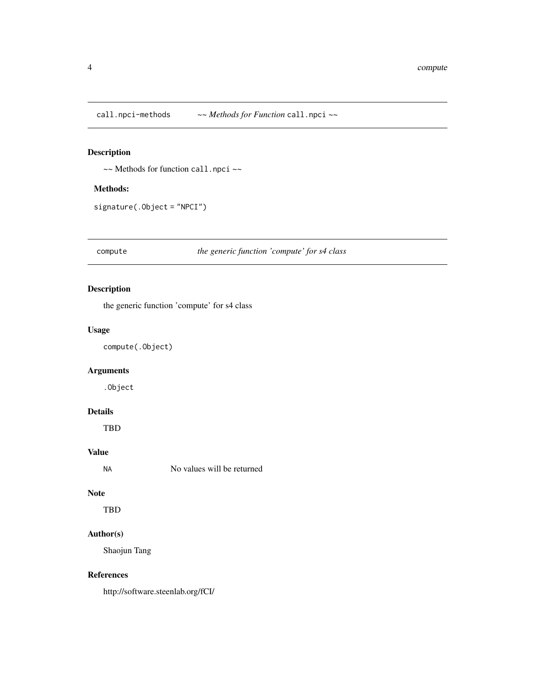<span id="page-3-0"></span>call.npci-methods *~~ Methods for Function* call.npci *~~*

### Description

~~ Methods for function call.npci ~~

### Methods:

signature(.Object = "NPCI")

compute *the generic function 'compute' for s4 class*

### Description

the generic function 'compute' for s4 class

#### Usage

compute(.Object)

### Arguments

.Object

#### Details

TBD

### Value

No values will be returned

#### Note

TBD

### Author(s)

Shaojun Tang

#### References

http://software.steenlab.org/fCI/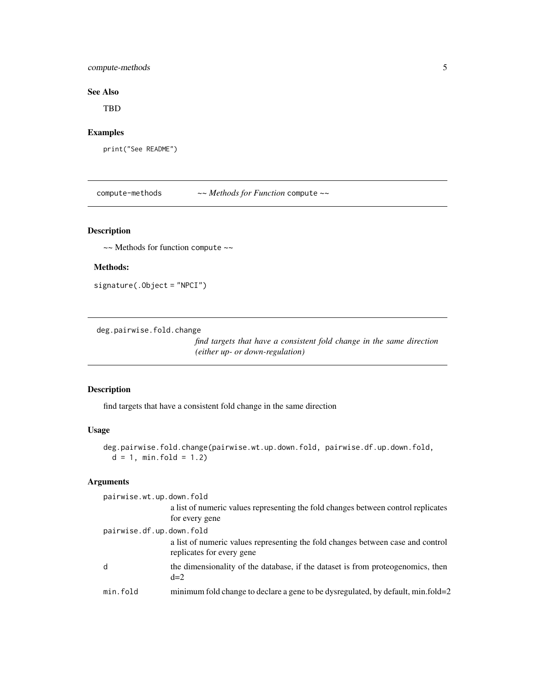### <span id="page-4-0"></span>compute-methods 5

### See Also

TBD

### Examples

print("See README")

compute-methods *~~ Methods for Function* compute *~~*

### Description

~~ Methods for function compute ~~

### Methods:

signature(.Object = "NPCI")

deg.pairwise.fold.change

*find targets that have a consistent fold change in the same direction (either up- or down-regulation)*

#### Description

find targets that have a consistent fold change in the same direction

#### Usage

```
deg.pairwise.fold.change(pairwise.wt.up.down.fold, pairwise.df.up.down.fold,
 d = 1, min. fold = 1.2)
```
### Arguments

| pairwise.wt.up.down.fold |                                                                                                              |
|--------------------------|--------------------------------------------------------------------------------------------------------------|
|                          | a list of numeric values representing the fold changes between control replicates                            |
|                          | for every gene                                                                                               |
| pairwise.df.up.down.fold |                                                                                                              |
|                          | a list of numeric values representing the fold changes between case and control<br>replicates for every gene |
| d                        | the dimensionality of the database, if the dataset is from proteogenomics, then<br>$d=2$                     |
| min.fold                 | minimum fold change to declare a gene to be dysregulated, by default, min.fold=2                             |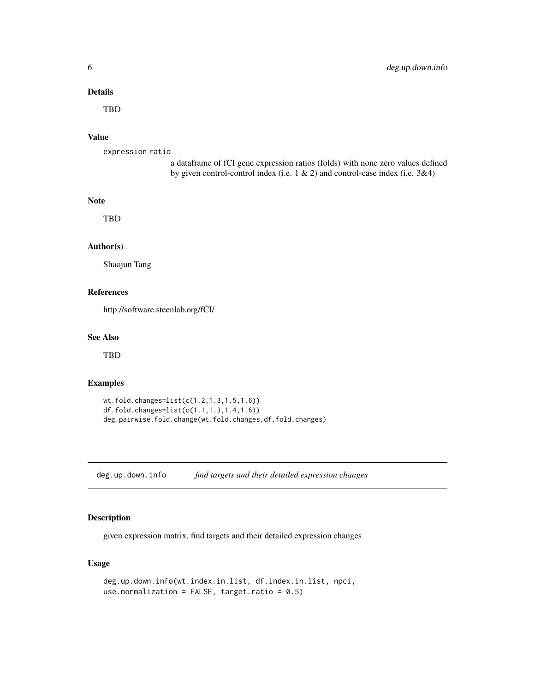### <span id="page-5-0"></span>Details

TBD

#### Value

expression ratio

a dataframe of fCI gene expression ratios (folds) with none zero values defined by given control-control index (i.e. 1 & 2) and control-case index (i.e. 3&4)

### Note

TBD

#### Author(s)

Shaojun Tang

#### References

http://software.steenlab.org/fCI/

#### See Also

TBD

#### Examples

```
wt.fold.changes=list(c(1.2,1.3,1.5,1.6))
df.fold.changes=list(c(1.1,1.3,1.4,1.6))
deg.pairwise.fold.change(wt.fold.changes,df.fold.changes)
```
deg.up.down.info *find targets and their detailed expression changes*

### Description

given expression matrix, find targets and their detailed expression changes

### Usage

```
deg.up.down.info(wt.index.in.list, df.index.in.list, npci,
use.normalization = FALSE, target.ratio = 0.5)
```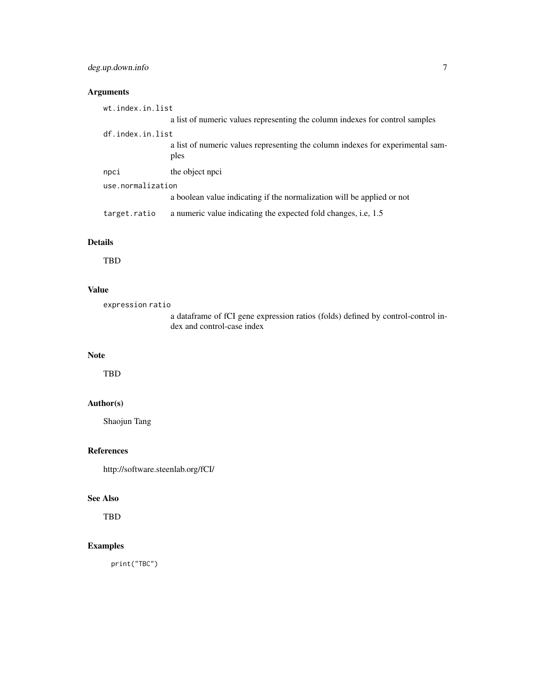### deg.up.down.info 7

### Arguments

| wt.index.in.list  |                                                                                        |
|-------------------|----------------------------------------------------------------------------------------|
|                   | a list of numeric values representing the column indexes for control samples           |
| df.index.in.list  |                                                                                        |
|                   | a list of numeric values representing the column indexes for experimental sam-<br>ples |
| npci              | the object npci                                                                        |
| use.normalization |                                                                                        |
|                   | a boolean value indicating if the normalization will be applied or not                 |
| target.ratio      | a numeric value indicating the expected fold changes, i.e, 1.5                         |

### Details

TBD

### Value

expression ratio

a dataframe of fCI gene expression ratios (folds) defined by control-control index and control-case index

### Note

TBD

### Author(s)

Shaojun Tang

#### References

http://software.steenlab.org/fCI/

#### See Also

TBD

### Examples

print("TBC")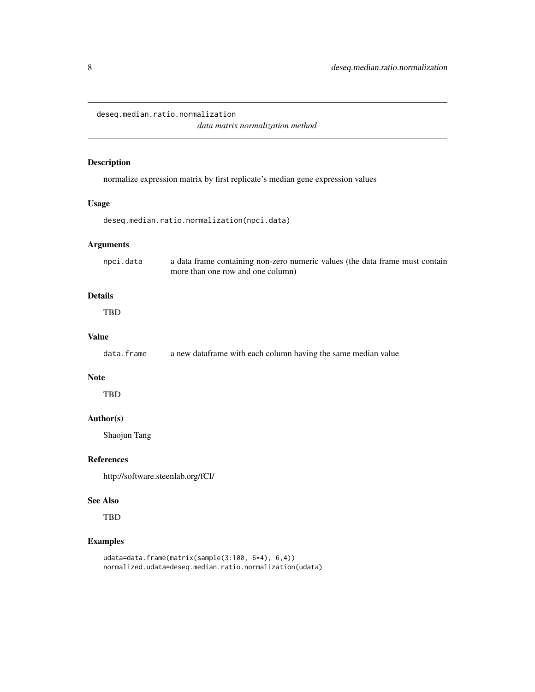<span id="page-7-0"></span>deseq.median.ratio.normalization

*data matrix normalization method*

### Description

normalize expression matrix by first replicate's median gene expression values

#### Usage

```
deseq.median.ratio.normalization(npci.data)
```
### Arguments

| npci.data | a data frame containing non-zero numeric values (the data frame must contain |
|-----------|------------------------------------------------------------------------------|
|           | more than one row and one column)                                            |

### Details

TBD

#### Value

data.frame a new dataframe with each column having the same median value

#### Note

TBD

### Author(s)

Shaojun Tang

#### References

http://software.steenlab.org/fCI/

#### See Also

TBD

### Examples

```
udata=data.frame(matrix(sample(3:100, 6*4), 6,4))
normalized.udata=deseq.median.ratio.normalization(udata)
```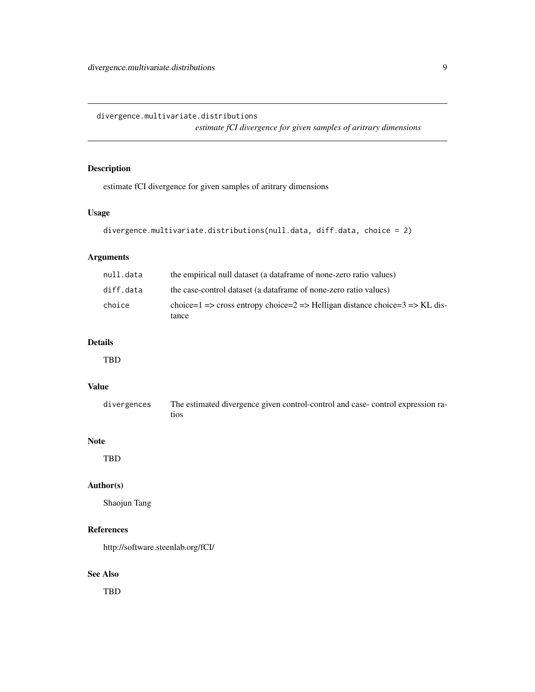<span id="page-8-0"></span>divergence.multivariate.distributions

*estimate fCI divergence for given samples of aritrary dimensions*

### Description

estimate fCI divergence for given samples of aritrary dimensions

### Usage

```
divergence.multivariate.distributions(null.data, diff.data, choice = 2)
```
### Arguments

| null.data | the empirical null dataset (a dataframe of none-zero ratio values)          |
|-----------|-----------------------------------------------------------------------------|
| diff.data | the case-control dataset (a dataframe of none-zero ratio values)            |
| choice    | choice=1 => cross entropy choice=2 => Helligan distance choice=3 => KL dis- |
|           | tance                                                                       |

### Details

TBD

### Value

| divergences | The estimated divergence given control-control and case-control expression ra- |
|-------------|--------------------------------------------------------------------------------|
|             | tios                                                                           |

#### Note

TBD

### Author(s)

Shaojun Tang

### References

http://software.steenlab.org/fCI/

### See Also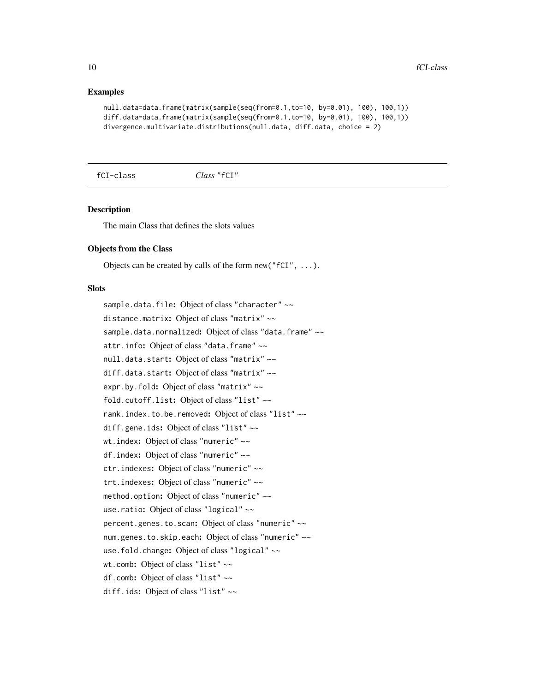#### Examples

```
null.data=data.frame(matrix(sample(seq(from=0.1,to=10, by=0.01), 100), 100,1))
diff.data=data.frame(matrix(sample(seq(from=0.1,to=10, by=0.01), 100), 100,1))
divergence.multivariate.distributions(null.data, diff.data, choice = 2)
```
fCI-class *Class* "fCI"

#### **Description**

The main Class that defines the slots values

#### Objects from the Class

Objects can be created by calls of the form new ( $"fCI", \ldots$ ).

#### **Slots**

sample.data.file: Object of class "character" ~~ distance.matrix: Object of class "matrix" ~~ sample.data.normalized: Object of class "data.frame" ~~ attr. info: Object of class "data.frame" ~~ null.data.start: Object of class "matrix" ~~ diff.data.start: Object of class "matrix" ~~ expr.by.fold: Object of class "matrix" ~~ fold.cutoff.list: Object of class "list" ~~ rank.index.to.be.removed: Object of class "list" ~~ diff.gene.ids: Object of class "list" ~~ wt.index: Object of class "numeric" ~~ df.index: Object of class "numeric" ~~ ctr.indexes: Object of class "numeric" ~~ trt.indexes: Object of class "numeric" ~~ method.option: Object of class "numeric" ~~ use.ratio: Object of class "logical" ~~ percent.genes.to.scan: Object of class "numeric" ~~ num.genes.to.skip.each: Object of class "numeric" ~~ use.fold.change: Object of class "logical" ~~ wt.comb: Object of class "list" ~~ df.comb: Object of class "list" ~~ diff.ids: Object of class "list" ~~

<span id="page-9-0"></span>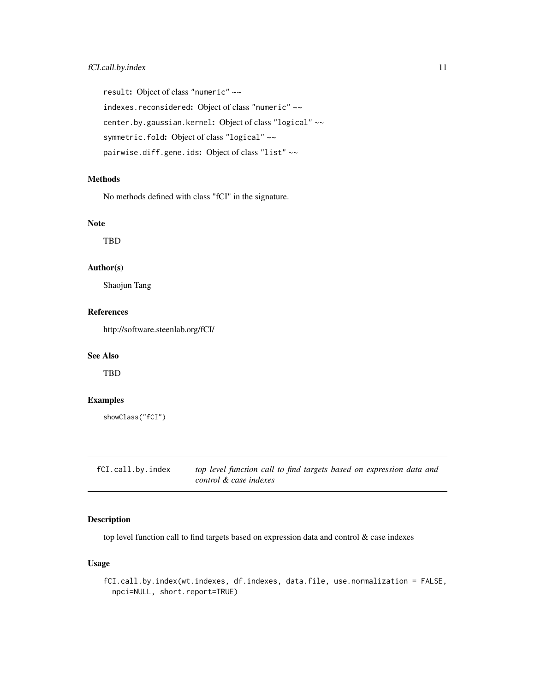<span id="page-10-0"></span>result: Object of class "numeric" ~~ indexes.reconsidered: Object of class "numeric" ~~ center.by.gaussian.kernel: Object of class "logical" ~~ symmetric.fold: Object of class "logical" ~~ pairwise.diff.gene.ids: Object of class "list" ~~

#### Methods

No methods defined with class "fCI" in the signature.

#### Note

TBD

#### Author(s)

Shaojun Tang

### References

http://software.steenlab.org/fCI/

### See Also

TBD

### Examples

```
showClass("fCI")
```
fCI.call.by.index *top level function call to find targets based on expression data and control & case indexes*

### Description

top level function call to find targets based on expression data and control & case indexes

### Usage

fCI.call.by.index(wt.indexes, df.indexes, data.file, use.normalization = FALSE, npci=NULL, short.report=TRUE)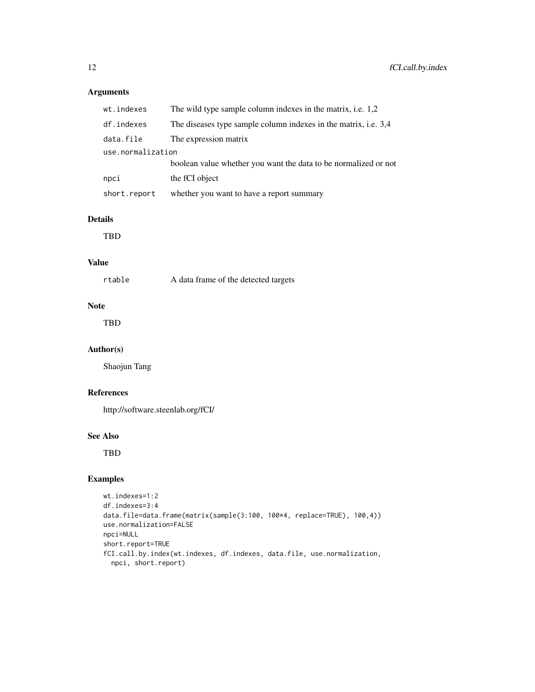### Arguments

| wt.indexes        | The wild type sample column indexes in the matrix, i.e. 1,2     |
|-------------------|-----------------------------------------------------------------|
| df.indexes        | The diseases type sample column indexes in the matrix, i.e. 3,4 |
| data.file         | The expression matrix                                           |
| use.normalization |                                                                 |
|                   | boolean value whether you want the data to be normalized or not |
| npci              | the fCI object                                                  |
| short.report      | whether you want to have a report summary                       |

#### Details

TBD

#### Value

| rtable | A data frame of the detected targets |  |
|--------|--------------------------------------|--|
|--------|--------------------------------------|--|

### Note

TBD

### Author(s)

Shaojun Tang

#### References

http://software.steenlab.org/fCI/

#### See Also

TBD

### Examples

```
wt.indexes=1:2
df.indexes=3:4
data.file=data.frame(matrix(sample(3:100, 100*4, replace=TRUE), 100,4))
use.normalization=FALSE
npci=NULL
short.report=TRUE
fCI.call.by.index(wt.indexes, df.indexes, data.file, use.normalization,
 npci, short.report)
```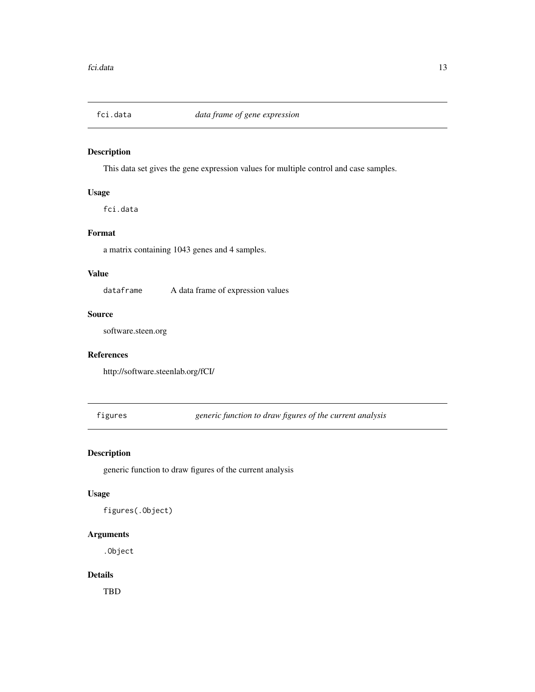<span id="page-12-0"></span>

### Description

This data set gives the gene expression values for multiple control and case samples.

### Usage

fci.data

### Format

a matrix containing 1043 genes and 4 samples.

### Value

dataframe A data frame of expression values

#### Source

software.steen.org

#### References

http://software.steenlab.org/fCI/

figures *generic function to draw figures of the current analysis*

### Description

generic function to draw figures of the current analysis

#### Usage

figures(.Object)

### Arguments

.Object

#### Details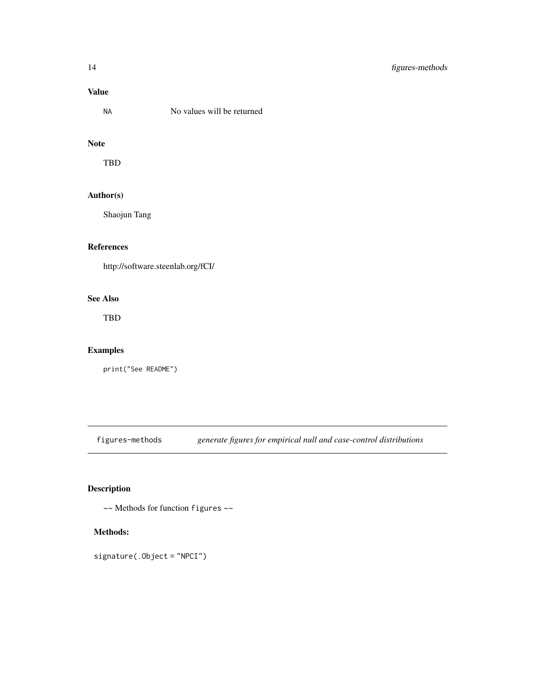### <span id="page-13-0"></span>Value

| <b>NA</b> | No values will be returned |
|-----------|----------------------------|
|-----------|----------------------------|

#### Note

TBD

### Author(s)

Shaojun Tang

#### References

http://software.steenlab.org/fCI/

### See Also

TBD

### Examples

print("See README")

figures-methods *generate figures for empirical null and case-control distributions*

### Description

~~ Methods for function figures ~~

### Methods:

signature(.Object = "NPCI")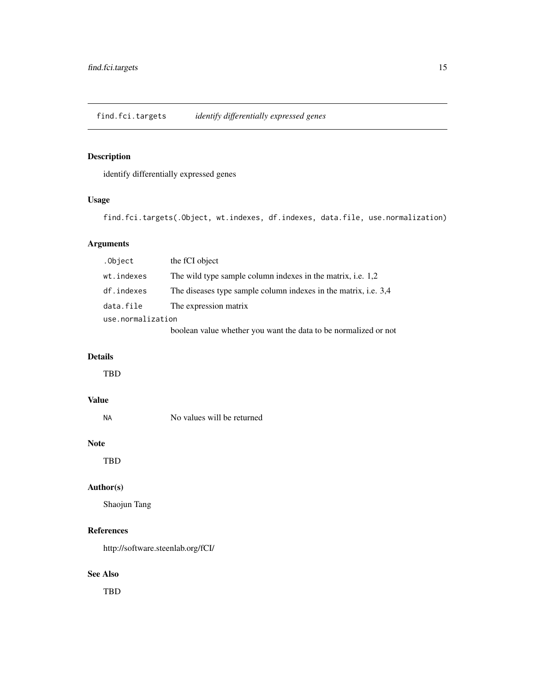<span id="page-14-0"></span>find.fci.targets *identify differentially expressed genes*

### Description

identify differentially expressed genes

#### Usage

find.fci.targets(.Object, wt.indexes, df.indexes, data.file, use.normalization)

### Arguments

| .Object           | the fCI object                                                  |
|-------------------|-----------------------------------------------------------------|
| wt.indexes        | The wild type sample column indexes in the matrix, i.e. 1,2     |
| df.indexes        | The diseases type sample column indexes in the matrix, i.e. 3,4 |
| data.file         | The expression matrix                                           |
| use.normalization |                                                                 |
|                   | boolean value whether you want the data to be normalized or not |

### Details

TBD

### Value

No values will be returned

#### Note

TBD

### Author(s)

Shaojun Tang

#### References

http://software.steenlab.org/fCI/

### See Also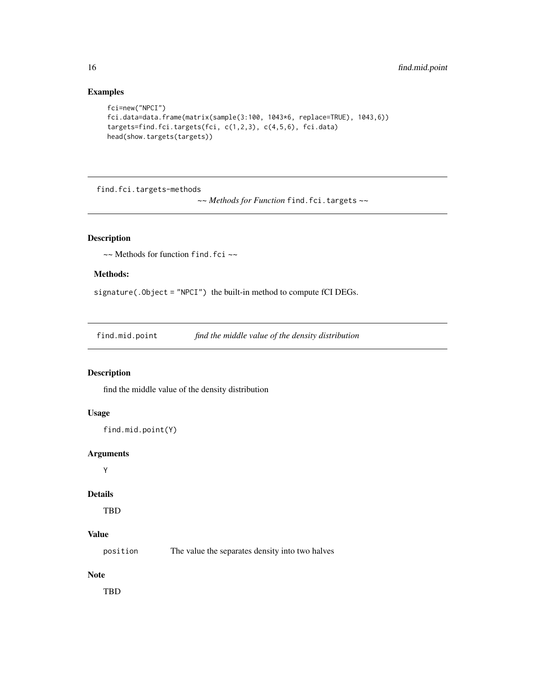### <span id="page-15-0"></span>Examples

```
fci=new("NPCI")
fci.data=data.frame(matrix(sample(3:100, 1043*6, replace=TRUE), 1043,6))
targets=find.fci.targets(fci, c(1,2,3), c(4,5,6), fci.data)
head(show.targets(targets))
```
find.fci.targets-methods

*~~ Methods for Function* find.fci.targets *~~*

### Description

~~ Methods for function find.fci ~~

#### Methods:

signature(.Object = "NPCI") the built-in method to compute fCI DEGs.

find.mid.point *find the middle value of the density distribution*

#### Description

find the middle value of the density distribution

### Usage

```
find.mid.point(Y)
```
#### Arguments

Y

#### Details

TBD

### Value

position The value the separates density into two halves

### Note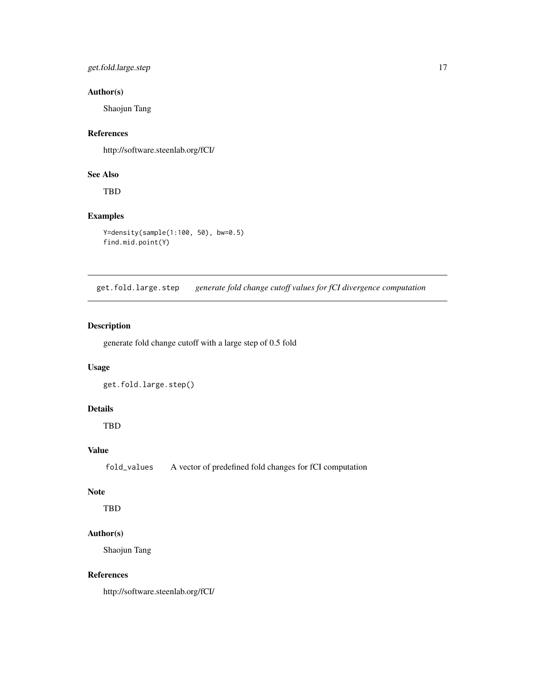### <span id="page-16-0"></span>get.fold.large.step 17

### Author(s)

Shaojun Tang

#### References

http://software.steenlab.org/fCI/

### See Also

TBD

### Examples

```
Y=density(sample(1:100, 50), bw=0.5)
find.mid.point(Y)
```
get.fold.large.step *generate fold change cutoff values for fCI divergence computation*

### Description

generate fold change cutoff with a large step of 0.5 fold

#### Usage

get.fold.large.step()

### Details

TBD

### Value

fold\_values A vector of predefined fold changes for fCI computation

#### Note

TBD

### Author(s)

Shaojun Tang

### References

http://software.steenlab.org/fCI/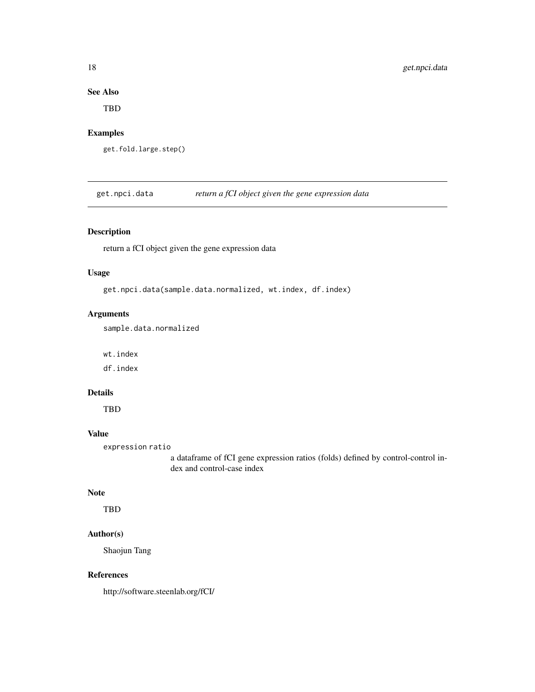### See Also

TBD

### Examples

get.fold.large.step()

get.npci.data *return a fCI object given the gene expression data*

### Description

return a fCI object given the gene expression data

#### Usage

get.npci.data(sample.data.normalized, wt.index, df.index)

#### Arguments

sample.data.normalized

wt.index

df.index

#### Details

TBD

### Value

expression ratio

a dataframe of fCI gene expression ratios (folds) defined by control-control index and control-case index

#### Note

TBD

### Author(s)

Shaojun Tang

#### References

http://software.steenlab.org/fCI/

<span id="page-17-0"></span>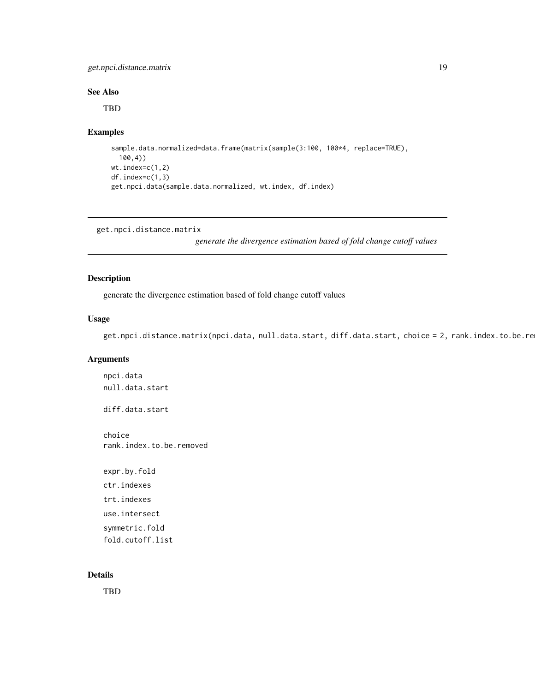### <span id="page-18-0"></span>get.npci.distance.matrix 19

#### See Also

TBD

### Examples

```
sample.data.normalized=data.frame(matrix(sample(3:100, 100*4, replace=TRUE),
  100,4))
wt.index=c(1,2)
df.index=c(1,3)
get.npci.data(sample.data.normalized, wt.index, df.index)
```
get.npci.distance.matrix

*generate the divergence estimation based of fold change cutoff values*

### Description

generate the divergence estimation based of fold change cutoff values

#### Usage

get.npci.distance.matrix(npci.data, null.data.start, diff.data.start, choice = 2, rank.index.to.be.re

### Arguments

npci.data null.data.start diff.data.start choice rank.index.to.be.removed expr.by.fold ctr.indexes trt.indexes use.intersect symmetric.fold fold.cutoff.list

#### Details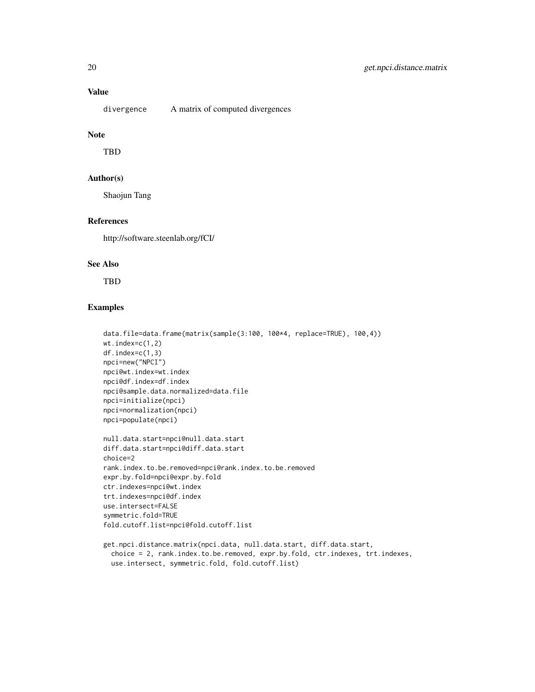### Value

divergence A matrix of computed divergences

### Note

TBD

### Author(s)

Shaojun Tang

### References

http://software.steenlab.org/fCI/

### See Also

TBD

### Examples

```
data.file=data.frame(matrix(sample(3:100, 100*4, replace=TRUE), 100,4))
wt.index=c(1,2)
df.index=c(1,3)
npci=new("NPCI")
npci@wt.index=wt.index
npci@df.index=df.index
npci@sample.data.normalized=data.file
npci=initialize(npci)
npci=normalization(npci)
npci=populate(npci)
null.data.start=npci@null.data.start
diff.data.start=npci@diff.data.start
choice=2
rank.index.to.be.removed=npci@rank.index.to.be.removed
expr.by.fold=npci@expr.by.fold
ctr.indexes=npci@wt.index
trt.indexes=npci@df.index
use.intersect=FALSE
symmetric.fold=TRUE
fold.cutoff.list=npci@fold.cutoff.list
get.npci.distance.matrix(npci.data, null.data.start, diff.data.start,
```
choice = 2, rank.index.to.be.removed, expr.by.fold, ctr.indexes, trt.indexes, use.intersect, symmetric.fold, fold.cutoff.list)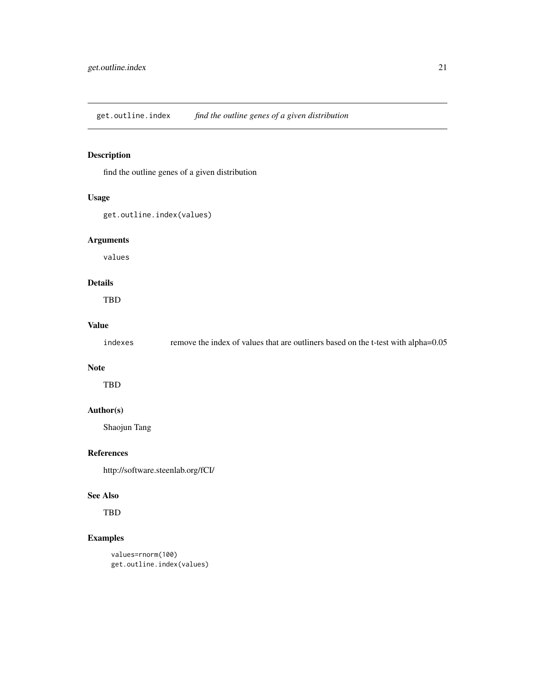<span id="page-20-0"></span>get.outline.index *find the outline genes of a given distribution*

### Description

find the outline genes of a given distribution

### Usage

```
get.outline.index(values)
```
### Arguments

values

### Details

TBD

#### Value

| indexes | remove the index of values that are outliners based on the t-test with alpha=0.05 |
|---------|-----------------------------------------------------------------------------------|
|         |                                                                                   |

### Note

TBD

### Author(s)

Shaojun Tang

### References

http://software.steenlab.org/fCI/

#### See Also

TBD

### Examples

```
values=rnorm(100)
get.outline.index(values)
```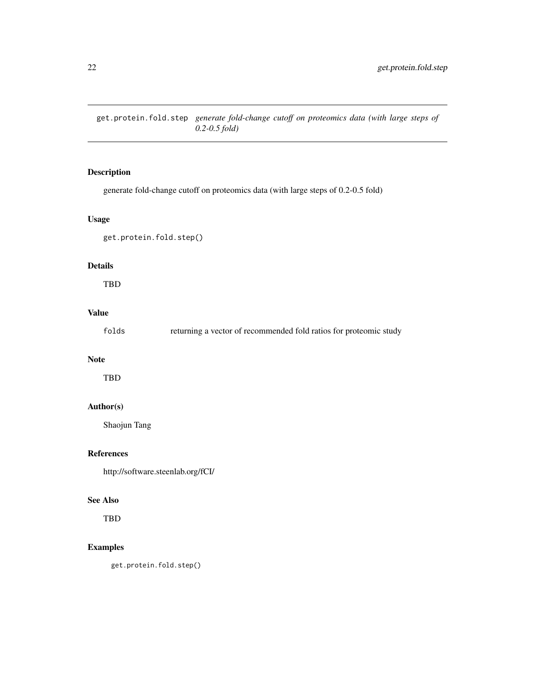<span id="page-21-0"></span>get.protein.fold.step *generate fold-change cutoff on proteomics data (with large steps of 0.2-0.5 fold)*

### Description

generate fold-change cutoff on proteomics data (with large steps of 0.2-0.5 fold)

### Usage

```
get.protein.fold.step()
```
### Details

TBD

### Value

|  | folds |  |  | returning a vector of recommended fold ratios for proteomic study |  |  |  |  |  |
|--|-------|--|--|-------------------------------------------------------------------|--|--|--|--|--|
|--|-------|--|--|-------------------------------------------------------------------|--|--|--|--|--|

#### Note

TBD

### Author(s)

Shaojun Tang

### References

http://software.steenlab.org/fCI/

#### See Also

TBD

### Examples

get.protein.fold.step()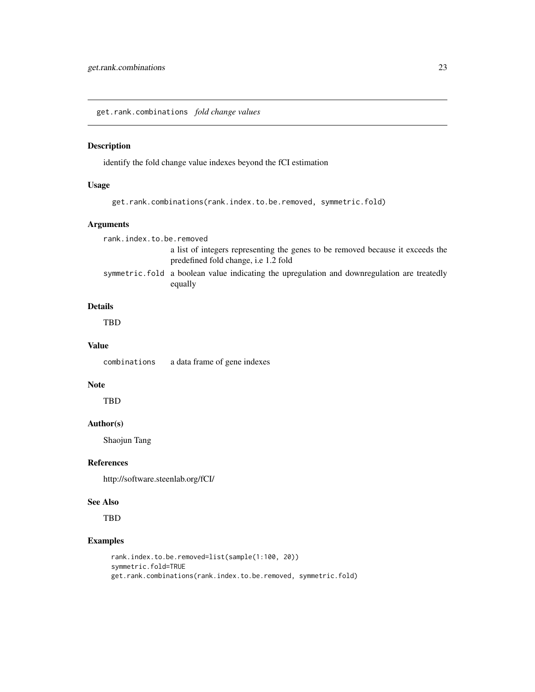<span id="page-22-0"></span>get.rank.combinations *fold change values*

#### Description

identify the fold change value indexes beyond the fCI estimation

#### Usage

```
get.rank.combinations(rank.index.to.be.removed, symmetric.fold)
```
#### Arguments

rank.index.to.be.removed

a list of integers representing the genes to be removed because it exceeds the predefined fold change, i.e 1.2 fold

symmetric.fold a boolean value indicating the upregulation and downregulation are treatedly equally

#### Details

TBD

#### Value

combinations a data frame of gene indexes

### Note

**TBD** 

#### Author(s)

Shaojun Tang

#### References

http://software.steenlab.org/fCI/

### See Also

TBD

### Examples

```
rank.index.to.be.removed=list(sample(1:100, 20))
symmetric.fold=TRUE
get.rank.combinations(rank.index.to.be.removed, symmetric.fold)
```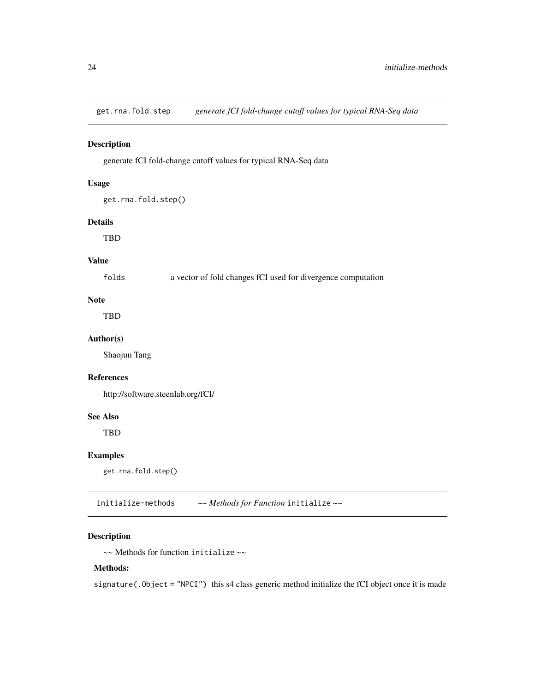<span id="page-23-0"></span>get.rna.fold.step *generate fCI fold-change cutoff values for typical RNA-Seq data*

### Description

generate fCI fold-change cutoff values for typical RNA-Seq data

### Usage

```
get.rna.fold.step()
```
#### Details

TBD

#### Value

folds a vector of fold changes fCI used for divergence computation

### Note

TBD

#### Author(s)

Shaojun Tang

#### References

http://software.steenlab.org/fCI/

#### See Also

TBD

### Examples

get.rna.fold.step()

initialize-methods *~~ Methods for Function* initialize *~~*

### Description

~~ Methods for function initialize ~~

#### Methods:

signature(.Object = "NPCI") this s4 class generic method initialize the fCI object once it is made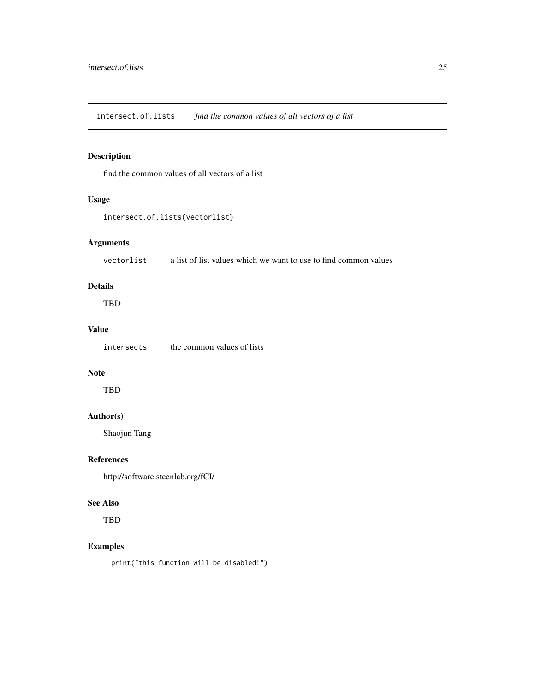<span id="page-24-0"></span>intersect.of.lists *find the common values of all vectors of a list*

### Description

find the common values of all vectors of a list

### Usage

```
intersect.of.lists(vectorlist)
```
### Arguments

vectorlist a list of list values which we want to use to find common values

### Details

TBD

### Value

intersects the common values of lists

### Note

TBD

### Author(s)

Shaojun Tang

#### References

http://software.steenlab.org/fCI/

### See Also

TBD

### Examples

print("this function will be disabled!")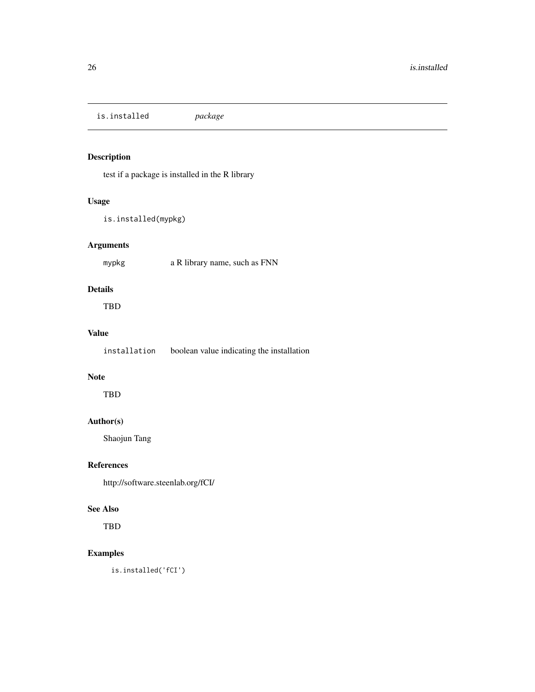<span id="page-25-0"></span>is.installed *package*

### Description

test if a package is installed in the R library

### Usage

is.installed(mypkg)

### Arguments

mypkg a R library name, such as FNN

### Details

TBD

### Value

installation boolean value indicating the installation

### Note

TBD

### Author(s)

Shaojun Tang

#### References

http://software.steenlab.org/fCI/

#### See Also

TBD

### Examples

is.installed('fCI')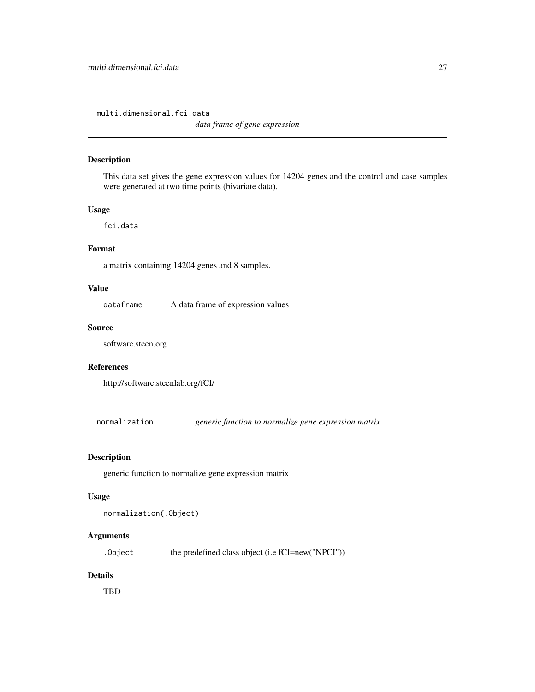<span id="page-26-0"></span>multi.dimensional.fci.data

*data frame of gene expression*

#### Description

This data set gives the gene expression values for 14204 genes and the control and case samples were generated at two time points (bivariate data).

#### Usage

fci.data

#### Format

a matrix containing 14204 genes and 8 samples.

#### Value

dataframe A data frame of expression values

#### Source

software.steen.org

#### References

http://software.steenlab.org/fCI/

normalization *generic function to normalize gene expression matrix*

#### Description

generic function to normalize gene expression matrix

#### Usage

normalization(.Object)

#### Arguments

. Object the predefined class object (i.e fCI=new("NPCI"))

#### Details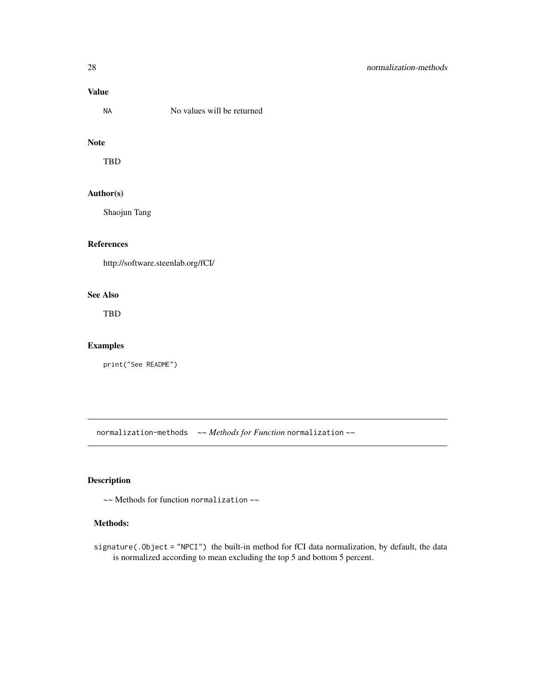### <span id="page-27-0"></span>Value

NA No values will be returned

#### Note

TBD

### Author(s)

Shaojun Tang

### References

http://software.steenlab.org/fCI/

### See Also

TBD

### Examples

print("See README")

normalization-methods *~~ Methods for Function* normalization *~~*

### Description

~~ Methods for function normalization ~~

### Methods:

signature(.Object = "NPCI") the built-in method for fCI data normalization, by default, the data is normalized according to mean excluding the top 5 and bottom 5 percent.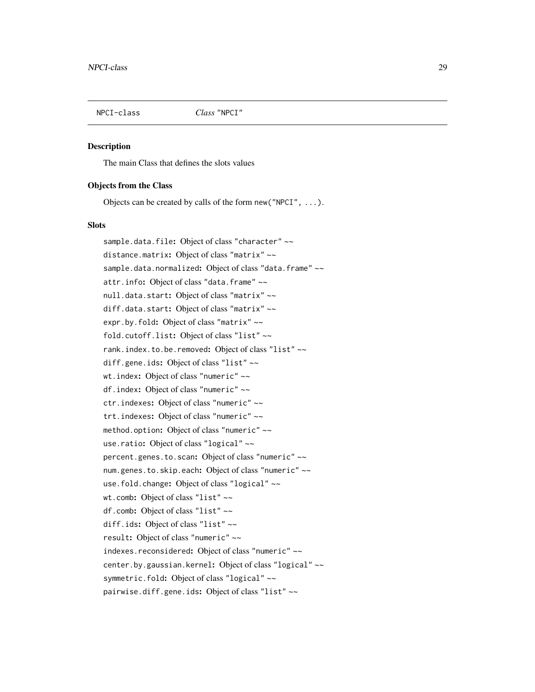<span id="page-28-0"></span>

#### **Description**

The main Class that defines the slots values

#### Objects from the Class

Objects can be created by calls of the form new("NPCI", ...).

#### **Slots**

sample.data.file: Object of class "character" ~~ distance.matrix: Object of class "matrix" ~~ sample.data.normalized: Object of class "data.frame" ~~ attr.info: Object of class "data.frame" ~~ null.data.start: Object of class "matrix" ~~ diff.data.start: Object of class "matrix" ~~ expr.by.fold: Object of class "matrix" ~~ fold.cutoff.list: Object of class "list" ~~ rank.index.to.be.removed: Object of class "list" ~~ diff.gene.ids: Object of class "list" ~~ wt.index: Object of class "numeric" ~~ df.index: Object of class "numeric" ~~ ctr.indexes: Object of class "numeric" ~~ trt.indexes: Object of class "numeric" ~~ method.option: Object of class "numeric" ~~ use.ratio: Object of class "logical" ~~ percent.genes.to.scan: Object of class "numeric" ~~ num.genes.to.skip.each: Object of class "numeric" ~~ use.fold.change: Object of class "logical" ~~ wt.comb: Object of class "list" ~~ df.comb: Object of class "list" ~~ diff.ids: Object of class "list" ~~ result: Object of class "numeric" ~~ indexes.reconsidered: Object of class "numeric" ~~ center.by.gaussian.kernel: Object of class "logical" ~~ symmetric.fold: Object of class "logical" ~~ pairwise.diff.gene.ids: Object of class "list" ~~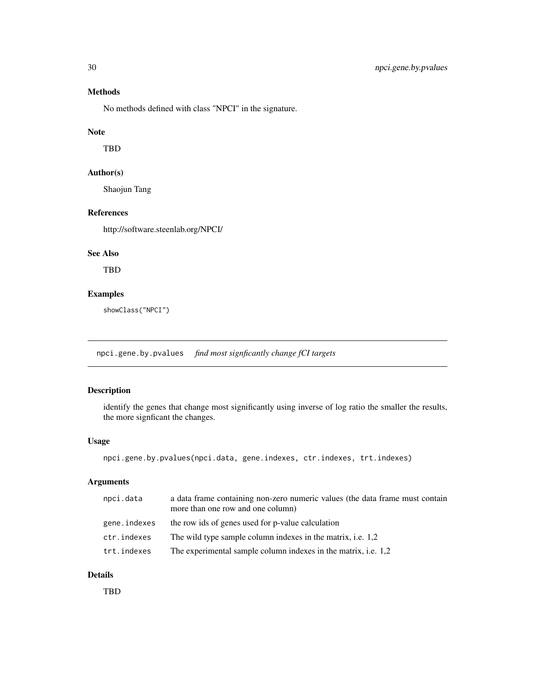### <span id="page-29-0"></span>Methods

No methods defined with class "NPCI" in the signature.

#### Note

TBD

### Author(s)

Shaojun Tang

### References

http://software.steenlab.org/NPCI/

#### See Also

TBD

### Examples

showClass("NPCI")

npci.gene.by.pvalues *find most signficantly change fCI targets*

### Description

identify the genes that change most significantly using inverse of log ratio the smaller the results, the more signficant the changes.

### Usage

```
npci.gene.by.pvalues(npci.data, gene.indexes, ctr.indexes, trt.indexes)
```
#### Arguments

| npci.data    | a data frame containing non-zero numeric values (the data frame must contain<br>more than one row and one column) |
|--------------|-------------------------------------------------------------------------------------------------------------------|
| gene.indexes | the row ids of genes used for p-value calculation                                                                 |
| ctr.indexes  | The wild type sample column indexes in the matrix, i.e. 1,2                                                       |
| trt.indexes  | The experimental sample column indexes in the matrix, i.e. 1,2                                                    |

#### Details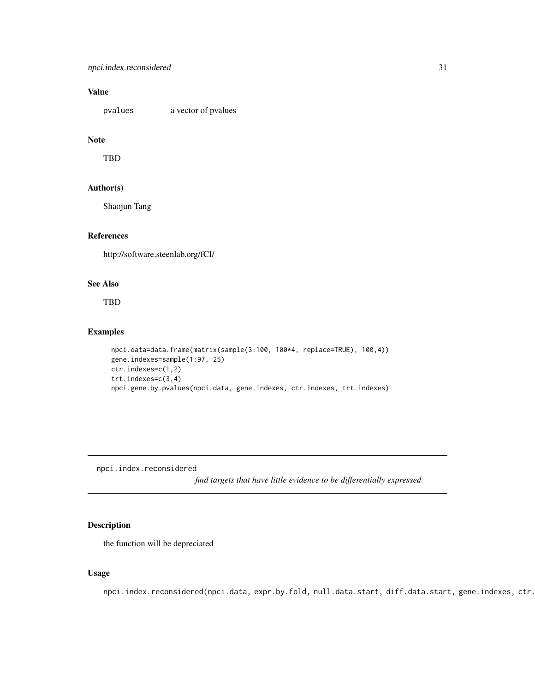### <span id="page-30-0"></span>Value

pvalues a vector of pvalues

### Note

TBD

#### Author(s)

Shaojun Tang

#### References

http://software.steenlab.org/fCI/

### See Also

TBD

### Examples

```
npci.data=data.frame(matrix(sample(3:100, 100*4, replace=TRUE), 100,4))
gene.indexes=sample(1:97, 25)
ctr.indexes=c(1,2)
trt.indexes=c(3,4)
npci.gene.by.pvalues(npci.data, gene.indexes, ctr.indexes, trt.indexes)
```
npci.index.reconsidered

*find targets that have little evidence to be differentially expressed*

#### Description

the function will be depreciated

#### Usage

npci.index.reconsidered(npci.data, expr.by.fold, null.data.start, diff.data.start, gene.indexes, ctr.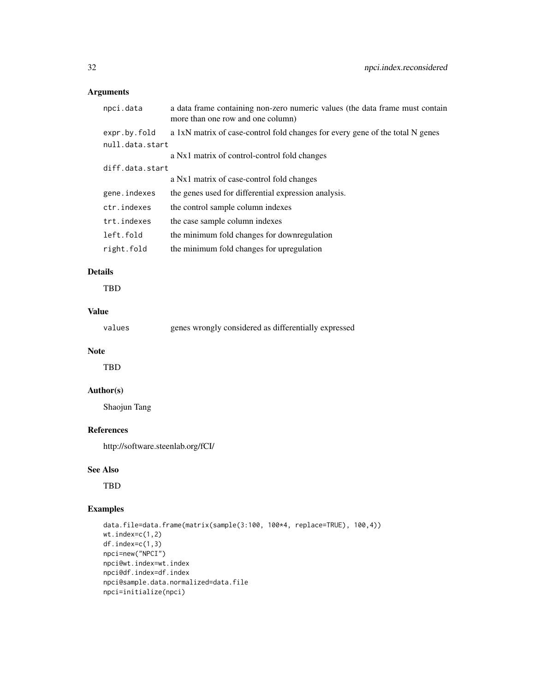### Arguments

| npci.data       | a data frame containing non-zero numeric values (the data frame must contain<br>more than one row and one column) |
|-----------------|-------------------------------------------------------------------------------------------------------------------|
| expr.by.fold    | a 1xN matrix of case-control fold changes for every gene of the total N genes                                     |
| null.data.start |                                                                                                                   |
|                 | a Nx1 matrix of control-control fold changes                                                                      |
| diff.data.start |                                                                                                                   |
|                 | a Nx1 matrix of case-control fold changes                                                                         |
| gene.indexes    | the genes used for differential expression analysis.                                                              |
| ctr.indexes     | the control sample column indexes                                                                                 |
| trt.indexes     | the case sample column indexes                                                                                    |
| left.fold       | the minimum fold changes for downregulation                                                                       |
| right.fold      | the minimum fold changes for upregulation                                                                         |
|                 |                                                                                                                   |

### Details

TBD

### Value

| values | genes wrongly considered as differentially expressed |  |  |  |
|--------|------------------------------------------------------|--|--|--|
|--------|------------------------------------------------------|--|--|--|

### Note

TBD

### Author(s)

Shaojun Tang

### References

http://software.steenlab.org/fCI/

#### See Also

TBD

### Examples

```
data.file=data.frame(matrix(sample(3:100, 100*4, replace=TRUE), 100,4))
wt.index=c(1,2)
df.index=c(1,3)
npci=new("NPCI")
npci@wt.index=wt.index
npci@df.index=df.index
npci@sample.data.normalized=data.file
npci=initialize(npci)
```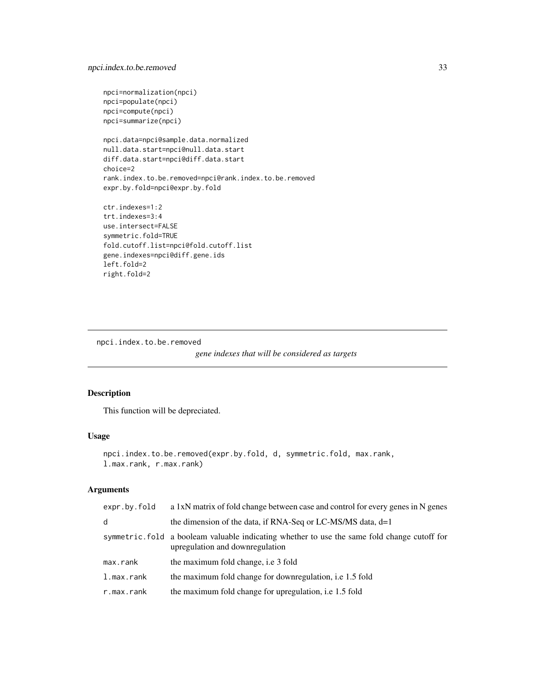```
npci=normalization(npci)
npci=populate(npci)
npci=compute(npci)
npci=summarize(npci)
npci.data=npci@sample.data.normalized
null.data.start=npci@null.data.start
diff.data.start=npci@diff.data.start
choice=2
rank.index.to.be.removed=npci@rank.index.to.be.removed
expr.by.fold=npci@expr.by.fold
ctr.indexes=1:2
trt.indexes=3:4
use.intersect=FALSE
symmetric.fold=TRUE
fold.cutoff.list=npci@fold.cutoff.list
gene.indexes=npci@diff.gene.ids
left.fold=2
right.fold=2
```
npci.index.to.be.removed

```
gene indexes that will be considered as targets
```
### Description

This function will be depreciated.

#### Usage

```
npci.index.to.be.removed(expr.by.fold, d, symmetric.fold, max.rank,
l.max.rank, r.max.rank)
```
### Arguments

| expr.by.fold | a 1xN matrix of fold change between case and control for every genes in N genes                                                |
|--------------|--------------------------------------------------------------------------------------------------------------------------------|
| d            | the dimension of the data, if RNA-Seq or LC-MS/MS data, $d=1$                                                                  |
|              | symmetric fold a booleam valuable indicating whether to use the same fold change cutoff for<br>upregulation and downregulation |
| max.rank     | the maximum fold change, <i>i.e</i> 3 fold                                                                                     |
| l.max.rank   | the maximum fold change for downregulation, <i>i.e</i> 1.5 fold                                                                |
| r.max.rank   | the maximum fold change for upregulation, i.e. 1.5 fold                                                                        |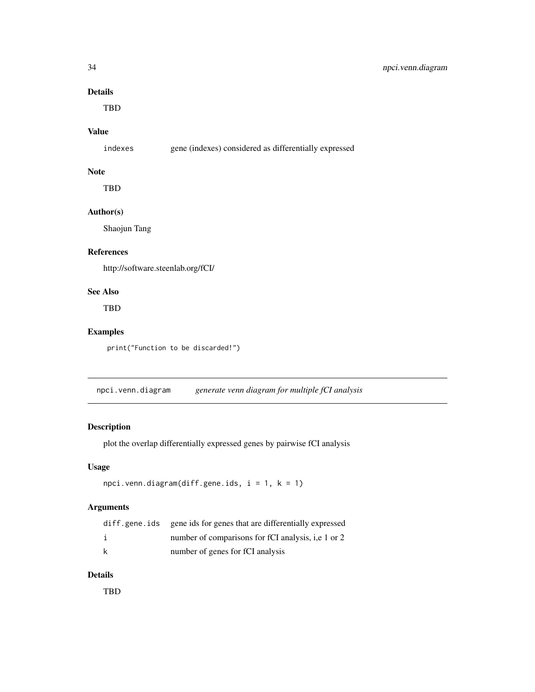### <span id="page-33-0"></span>Details

TBD

### Value

indexes gene (indexes) considered as differentially expressed

#### Note

TBD

### Author(s)

Shaojun Tang

### References

http://software.steenlab.org/fCI/

### See Also

TBD

### Examples

print("Function to be discarded!")

npci.venn.diagram *generate venn diagram for multiple fCI analysis*

### Description

plot the overlap differentially expressed genes by pairwise fCI analysis

### Usage

```
npci.venn.diagram(diff.gene.ids, i = 1, k = 1)
```
### Arguments

|   | diff.gene.ids gene ids for genes that are differentially expressed |
|---|--------------------------------------------------------------------|
|   | number of comparisons for fCI analysis, i.e 1 or 2                 |
| k | number of genes for fCI analysis                                   |

#### Details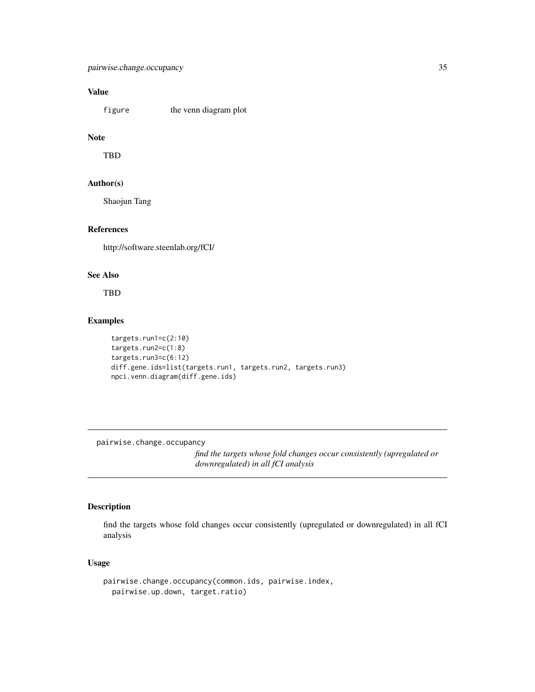### <span id="page-34-0"></span>Value

figure the venn diagram plot

### Note

TBD

### Author(s)

Shaojun Tang

### References

http://software.steenlab.org/fCI/

### See Also

TBD

#### Examples

```
targets.run1=c(2:10)
targets.run2=c(1:8)
targets.run3=c(6:12)
diff.gene.ids=list(targets.run1, targets.run2, targets.run3)
npci.venn.diagram(diff.gene.ids)
```
pairwise.change.occupancy

*find the targets whose fold changes occur consistently (upregulated or downregulated) in all fCI analysis*

### Description

find the targets whose fold changes occur consistently (upregulated or downregulated) in all fCI analysis

#### Usage

```
pairwise.change.occupancy(common.ids, pairwise.index,
 pairwise.up.down, target.ratio)
```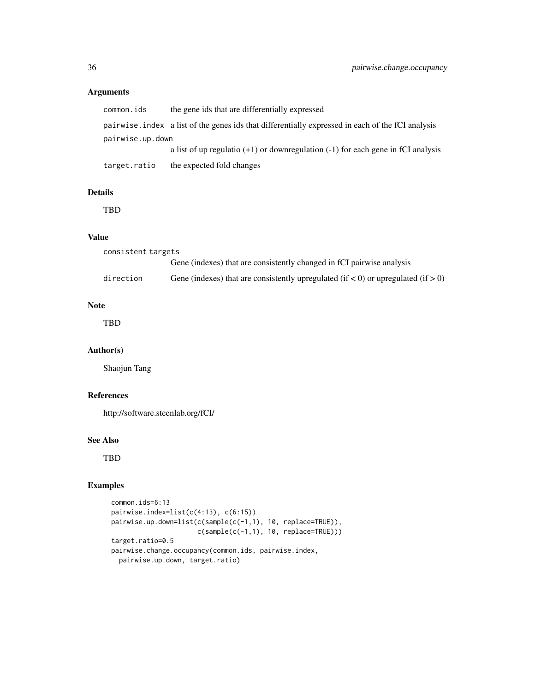### Arguments

| common.ids       | the gene ids that are differentially expressed                                                    |  |  |  |
|------------------|---------------------------------------------------------------------------------------------------|--|--|--|
|                  | pairwise, index a list of the genes ids that differentially expressed in each of the fCI analysis |  |  |  |
| pairwise.up.down |                                                                                                   |  |  |  |
|                  | a list of up regulatio $(+1)$ or downregulation $(-1)$ for each gene in fCI analysis              |  |  |  |
| target.ratio     | the expected fold changes                                                                         |  |  |  |

### Details

TBD

#### Value

| consistent targets |                                                                                       |
|--------------------|---------------------------------------------------------------------------------------|
|                    | Gene (indexes) that are consistently changed in fCI pairwise analysis                 |
| direction          | Gene (indexes) that are consistently upregulated (if $<$ 0) or upregulated (if $>$ 0) |

### Note

TBD

#### Author(s)

Shaojun Tang

### References

http://software.steenlab.org/fCI/

#### See Also

TBD

### Examples

```
common.ids=6:13
pairwise.index=list(c(4:13), c(6:15))
pairwise.up.down=list(c(sample(c(-1,1), 10, replace=TRUE)),
                     c(sample(c(-1,1), 10, replace=TRUE)))
target.ratio=0.5
pairwise.change.occupancy(common.ids, pairwise.index,
 pairwise.up.down, target.ratio)
```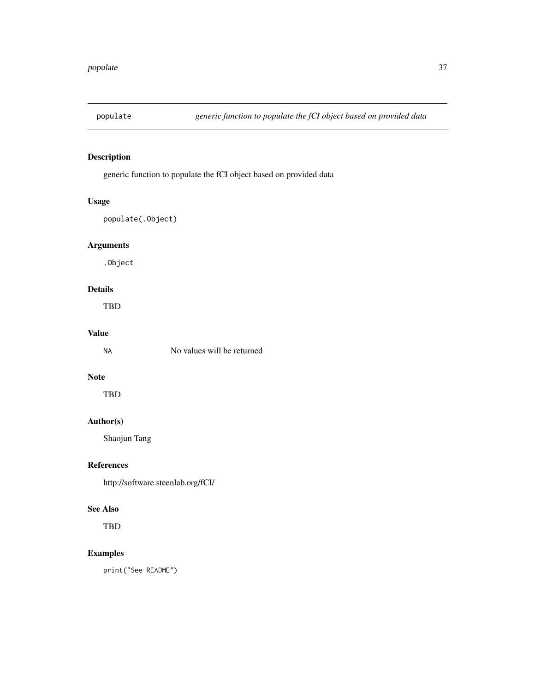<span id="page-36-0"></span>

### Description

generic function to populate the fCI object based on provided data

### Usage

populate(.Object)

### Arguments

.Object

### Details

TBD

### Value

NA No values will be returned

### Note

TBD

### Author(s)

Shaojun Tang

### References

http://software.steenlab.org/fCI/

#### See Also

TBD

### Examples

print("See README")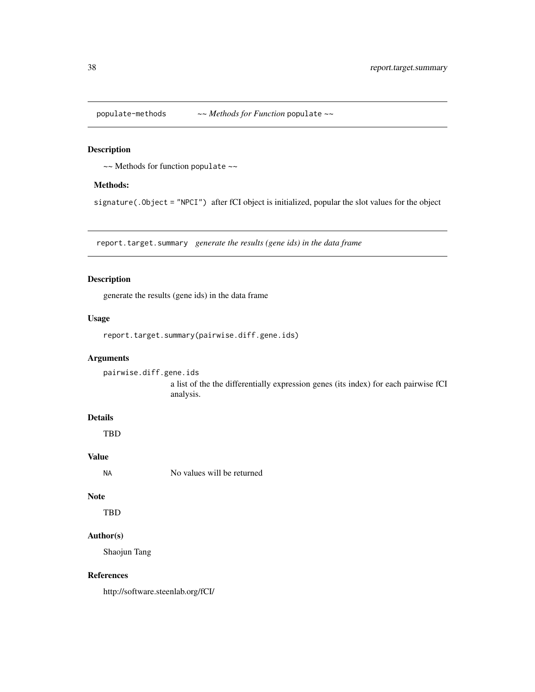<span id="page-37-0"></span>populate-methods *~~ Methods for Function* populate *~~*

### Description

~~ Methods for function populate ~~

### Methods:

signature(.Object = "NPCI") after fCI object is initialized, popular the slot values for the object

report.target.summary *generate the results (gene ids) in the data frame*

### Description

generate the results (gene ids) in the data frame

#### Usage

report.target.summary(pairwise.diff.gene.ids)

### Arguments

pairwise.diff.gene.ids a list of the the differentially expression genes (its index) for each pairwise fCI analysis.

#### Details

TBD

### Value

NA No values will be returned

#### Note

TBD

### Author(s)

Shaojun Tang

#### References

http://software.steenlab.org/fCI/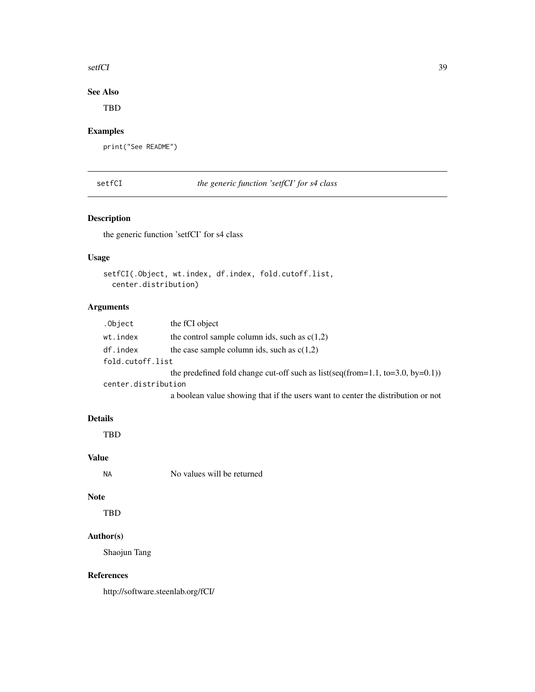#### <span id="page-38-0"></span>setfCI 39

### See Also

TBD

### Examples

print("See README")

setfCI *the generic function 'setfCI' for s4 class*

### Description

the generic function 'setfCI' for s4 class

#### Usage

```
setfCI(.Object, wt.index, df.index, fold.cutoff.list,
 center.distribution)
```
### Arguments

| .Object             | the fCI object                                                                   |
|---------------------|----------------------------------------------------------------------------------|
| wt.index            | the control sample column ids, such as $c(1,2)$                                  |
| df.index            | the case sample column ids, such as $c(1,2)$                                     |
| fold.cutoff.list    |                                                                                  |
|                     | the predefined fold change cut-off such as $list(seq(from=1.1, to=3.0, by=0.1))$ |
| center.distribution |                                                                                  |
|                     | a boolean value showing that if the users want to center the distribution or not |

### Details

TBD

### Value

NA No values will be returned

### Note

TBD

### Author(s)

Shaojun Tang

### References

http://software.steenlab.org/fCI/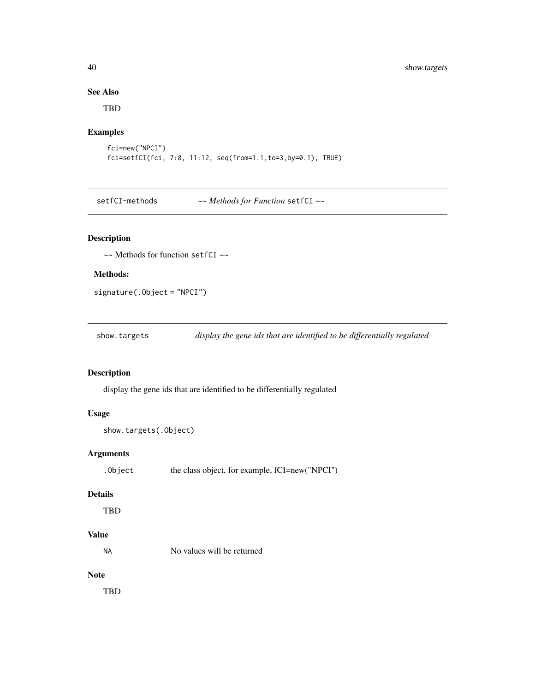### See Also

TBD

### Examples

```
fci=new("NPCI")
fci=setfCI(fci, 7:8, 11:12, seq(from=1.1,to=3,by=0.1), TRUE)
```
setfCI-methods *~~ Methods for Function* setfCI *~~*

### Description

~~ Methods for function setfCI ~~

### Methods:

signature(.Object = "NPCI")

show.targets *display the gene ids that are identified to be differentially regulated*

### Description

display the gene ids that are identified to be differentially regulated

### Usage

```
show.targets(.Object)
```
### Arguments

| .Object |  | the class object, for example, fCI=new("NPCI") |  |
|---------|--|------------------------------------------------|--|
|         |  |                                                |  |

#### Details

TBD

### Value

No values will be returned

### Note

<span id="page-39-0"></span>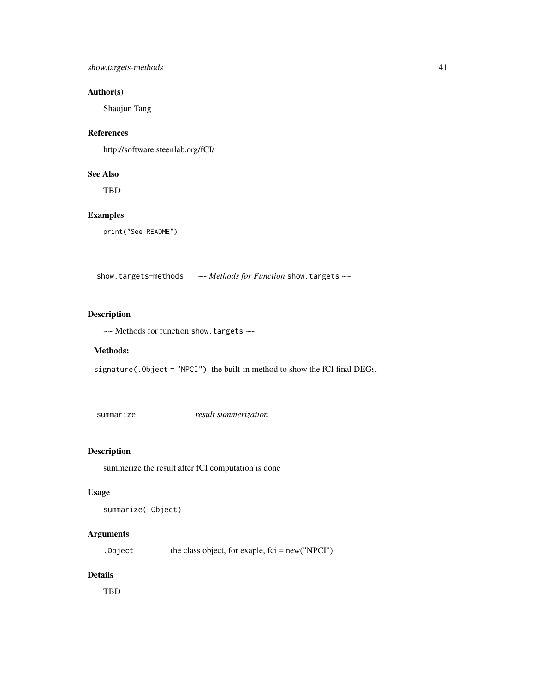### <span id="page-40-0"></span>Author(s)

Shaojun Tang

### References

http://software.steenlab.org/fCI/

### See Also

TBD

### Examples

print("See README")

show.targets-methods *~~ Methods for Function* show.targets *~~*

### Description

~~ Methods for function show.targets ~~

#### Methods:

 $signature( .0bject = "NPCI")$  the built-in method to show the fCI final DEGs.

summarize *result summerization*

### Description

summerize the result after fCI computation is done

#### Usage

```
summarize(.Object)
```
### Arguments

. Object the class object, for exaple,  $fci = new("NPCI")$ 

#### Details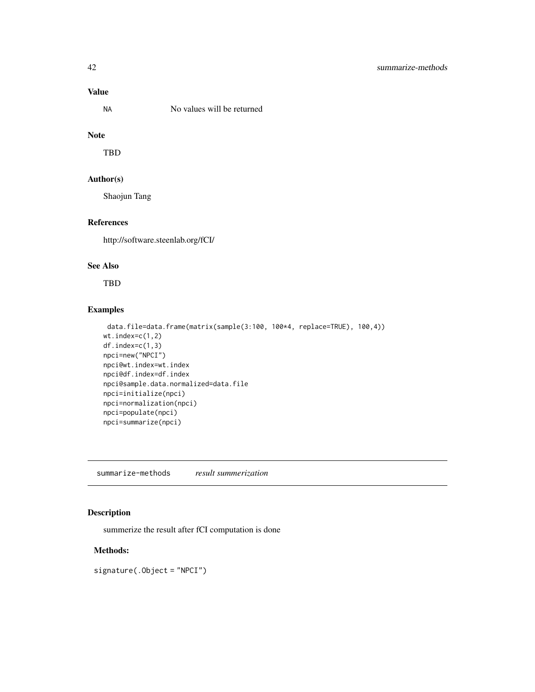### Value

No values will be returned

### Note

TBD

#### Author(s)

Shaojun Tang

### References

http://software.steenlab.org/fCI/

### See Also

TBD

### Examples

```
data.file=data.frame(matrix(sample(3:100, 100*4, replace=TRUE), 100,4))
wt.index=c(1,2)
df.index=c(1,3)
npci=new("NPCI")
npci@wt.index=wt.index
npci@df.index=df.index
npci@sample.data.normalized=data.file
npci=initialize(npci)
npci=normalization(npci)
npci=populate(npci)
npci=summarize(npci)
```
summarize-methods *result summerization*

### Description

summerize the result after fCI computation is done

#### Methods:

signature(.Object = "NPCI")

<span id="page-41-0"></span>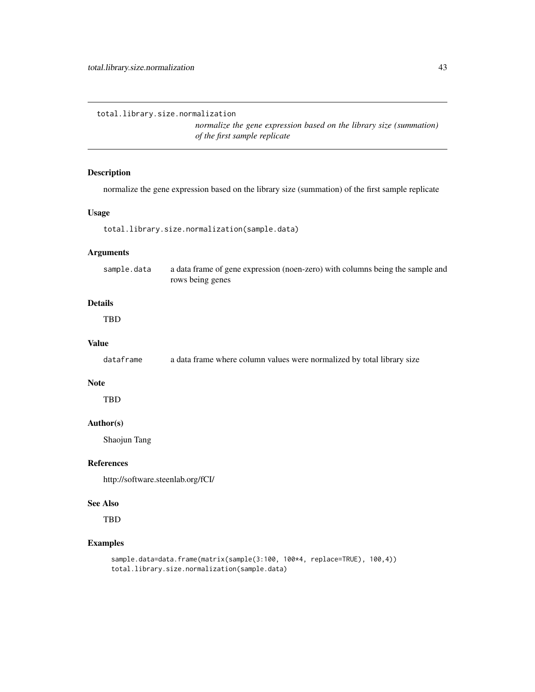<span id="page-42-0"></span>total.library.size.normalization

*normalize the gene expression based on the library size (summation) of the first sample replicate*

### Description

normalize the gene expression based on the library size (summation) of the first sample replicate

### Usage

total.library.size.normalization(sample.data)

#### Arguments

| sample.data | a data frame of gene expression (noen-zero) with columns being the sample and |
|-------------|-------------------------------------------------------------------------------|
|             | rows being genes                                                              |

### Details

TBD

### Value

dataframe a data frame where column values were normalized by total library size

#### Note

TBD

### Author(s)

Shaojun Tang

#### References

http://software.steenlab.org/fCI/

#### See Also

**TBD** 

### Examples

```
sample.data=data.frame(matrix(sample(3:100, 100*4, replace=TRUE), 100,4))
total.library.size.normalization(sample.data)
```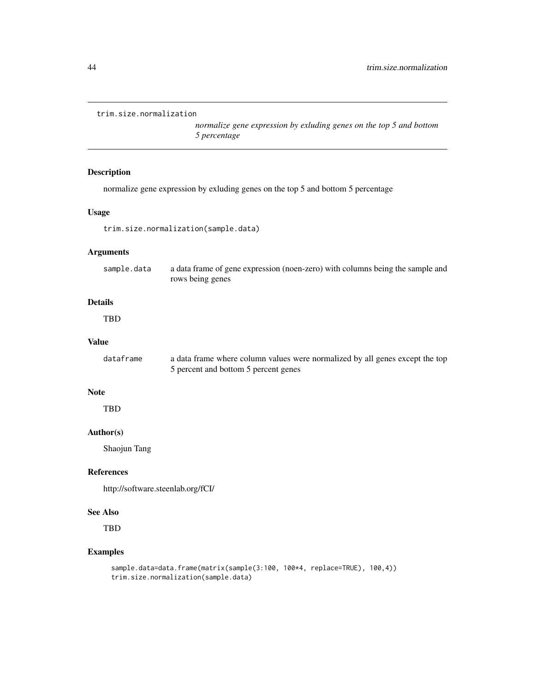```
trim.size.normalization
```
*normalize gene expression by exluding genes on the top 5 and bottom 5 percentage*

### Description

normalize gene expression by exluding genes on the top 5 and bottom 5 percentage

### Usage

trim.size.normalization(sample.data)

### Arguments

sample.data a data frame of gene expression (noen-zero) with columns being the sample and rows being genes

### Details

TBD

### Value

dataframe a data frame where column values were normalized by all genes except the top 5 percent and bottom 5 percent genes

#### **Note**

**TBD** 

### Author(s)

Shaojun Tang

#### References

http://software.steenlab.org/fCI/

#### See Also

TBD

#### Examples

```
sample.data=data.frame(matrix(sample(3:100, 100*4, replace=TRUE), 100,4))
trim.size.normalization(sample.data)
```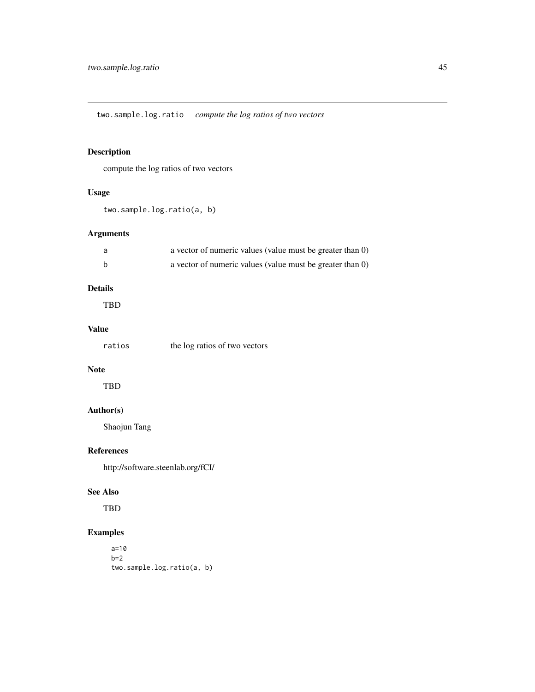<span id="page-44-0"></span>two.sample.log.ratio *compute the log ratios of two vectors*

### Description

compute the log ratios of two vectors

### Usage

two.sample.log.ratio(a, b)

### Arguments

| a vector of numeric values (value must be greater than 0) |
|-----------------------------------------------------------|
| a vector of numeric values (value must be greater than 0) |

### Details

TBD

### Value

| ratios | the log ratios of two vectors |
|--------|-------------------------------|
|--------|-------------------------------|

### Note

TBD

#### Author(s)

Shaojun Tang

#### References

http://software.steenlab.org/fCI/

#### See Also

TBD

### Examples

a=10  $b=2$ two.sample.log.ratio(a, b)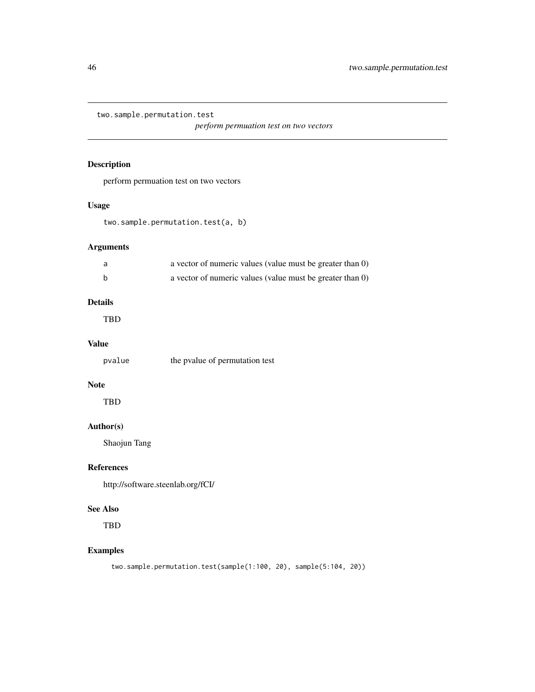<span id="page-45-0"></span>two.sample.permutation.test

*perform permuation test on two vectors*

### Description

perform permuation test on two vectors

### Usage

two.sample.permutation.test(a, b)

### Arguments

| a | a vector of numeric values (value must be greater than 0) |
|---|-----------------------------------------------------------|
| b | a vector of numeric values (value must be greater than 0) |

### Details

TBD

#### Value

| pvalue | the pvalue of permutation test |  |
|--------|--------------------------------|--|
|--------|--------------------------------|--|

### Note

TBD

### Author(s)

Shaojun Tang

### References

http://software.steenlab.org/fCI/

#### See Also

TBD

### Examples

two.sample.permutation.test(sample(1:100, 20), sample(5:104, 20))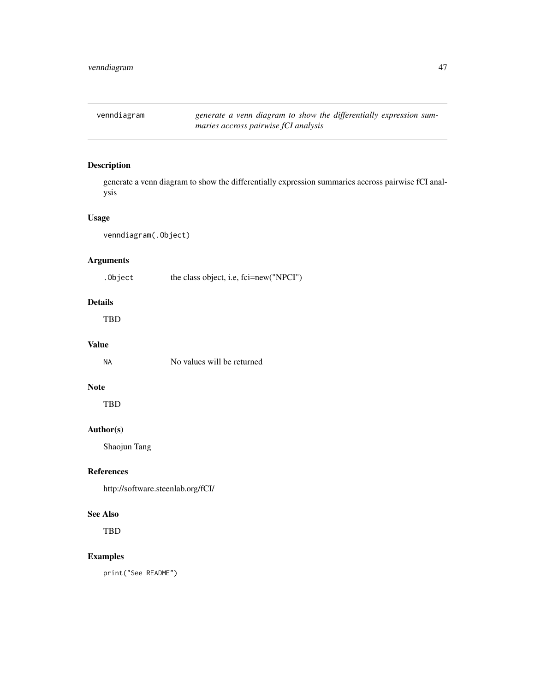<span id="page-46-0"></span>venndiagram *generate a venn diagram to show the differentially expression summaries accross pairwise fCI analysis*

#### Description

generate a venn diagram to show the differentially expression summaries accross pairwise fCI analysis

#### Usage

venndiagram(.Object)

### Arguments

. Object the class object, i.e, fci=new("NPCI")

### Details

TBD

#### Value

NA No values will be returned

#### Note

TBD

### Author(s)

Shaojun Tang

### References

http://software.steenlab.org/fCI/

### See Also

TBD

#### Examples

print("See README")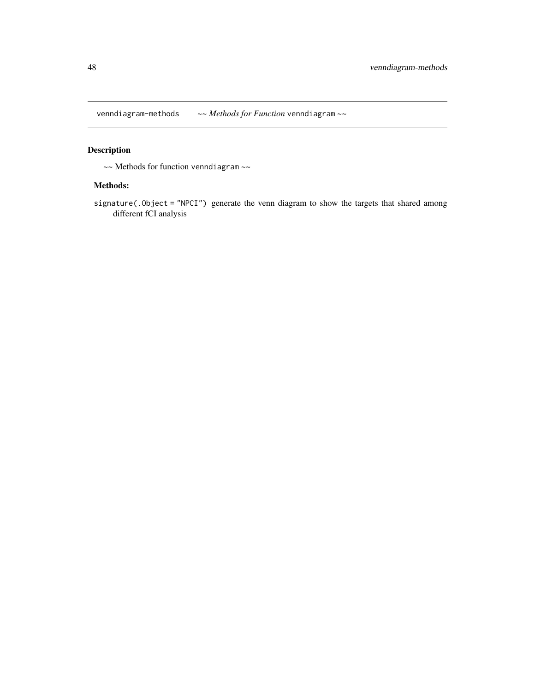<span id="page-47-0"></span>venndiagram-methods *~~ Methods for Function* venndiagram *~~*

### Description

~~ Methods for function venndiagram ~~

#### Methods:

signature(.Object = "NPCI") generate the venn diagram to show the targets that shared among different fCI analysis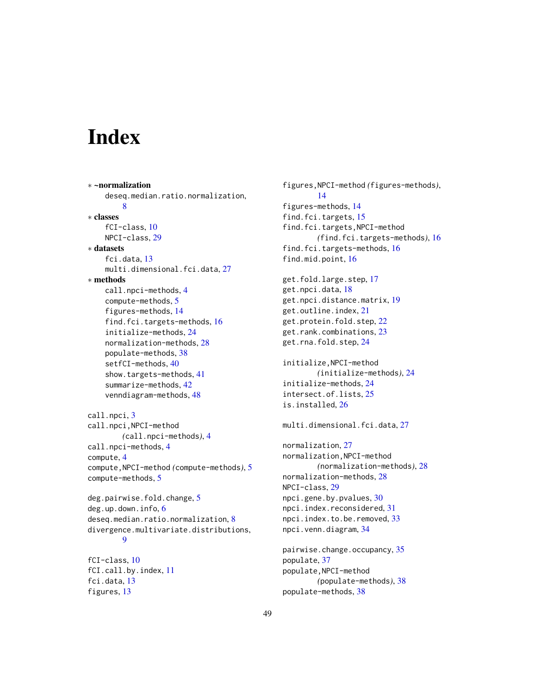# <span id="page-48-0"></span>**Index**

∗ ~normalization deseq.median.ratio.normalization, [8](#page-7-0) ∗ classes fCI-class, [10](#page-9-0) NPCI-class, [29](#page-28-0) ∗ datasets fci.data, [13](#page-12-0) multi.dimensional.fci.data, [27](#page-26-0) ∗ methods call.npci-methods, [4](#page-3-0) compute-methods, [5](#page-4-0) figures-methods, [14](#page-13-0) find.fci.targets-methods, [16](#page-15-0) initialize-methods, [24](#page-23-0) normalization-methods, [28](#page-27-0) populate-methods, [38](#page-37-0) setfCI-methods, [40](#page-39-0) show.targets-methods, [41](#page-40-0) summarize-methods, [42](#page-41-0) venndiagram-methods, [48](#page-47-0) call.npci, [3](#page-2-0) call.npci,NPCI-method *(*call.npci-methods*)*, [4](#page-3-0) call.npci-methods, [4](#page-3-0) compute, [4](#page-3-0) compute,NPCI-method *(*compute-methods*)*, [5](#page-4-0) compute-methods, [5](#page-4-0) deg.pairwise.fold.change, [5](#page-4-0) deg.up.down.info, [6](#page-5-0) deseq.median.ratio.normalization, [8](#page-7-0) divergence.multivariate.distributions, [9](#page-8-0) fCI-class, [10](#page-9-0) fCI.call.by.index, [11](#page-10-0) fci.data, [13](#page-12-0) figures, [13](#page-12-0)

```
figures,NPCI-method (figures-methods),
        14
figures-methods, 14
find.fci.targets, 15
find.fci.targets,NPCI-method
        (find.fci.targets-methods), 16
find.fci.targets-methods, 16
find.mid.point, 16
get.fold.large.step, 17
get.npci.data, 18
get.npci.distance.matrix, 19
get.outline.index, 21
get.protein.fold.step, 22
get.rank.combinations, 23
get.rna.fold.step, 24
initialize,NPCI-method
        (initialize-methods), 24
initialize-methods, 24
intersect.of.lists, 25
is.installed, 26
multi.dimensional.fci.data, 27
normalization, 27
normalization,NPCI-method
        (normalization-methods), 28
normalization-methods, 28
NPCI-class, 29
npci.gene.by.pvalues, 30
npci.index.reconsidered, 31
npci.index.to.be.removed, 33
npci.venn.diagram, 34
pairwise.change.occupancy, 35
populate, 37
populate,NPCI-method
        (populate-methods), 38
```
populate-methods, [38](#page-37-0)